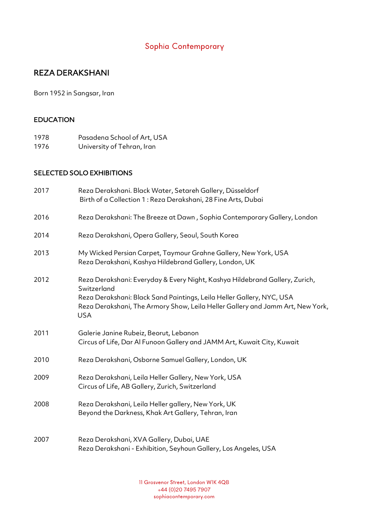## REZA DERAKSHANI

Born 1952 in Sangsar, Iran

### EDUCATION

1978 Pasadena School of Art, USA 1976 University of Tehran, Iran

# SELECTED SOLO EXHIBITIONS

| 2017 | Reza Derakshani. Black Water, Setareh Gallery, Düsseldorf<br>Birth of a Collection 1: Reza Derakshani, 28 Fine Arts, Dubai                                                                                                                                          |
|------|---------------------------------------------------------------------------------------------------------------------------------------------------------------------------------------------------------------------------------------------------------------------|
| 2016 | Reza Derakshani: The Breeze at Dawn, Sophia Contemporary Gallery, London                                                                                                                                                                                            |
| 2014 | Reza Derakshani, Opera Gallery, Seoul, South Korea                                                                                                                                                                                                                  |
| 2013 | My Wicked Persian Carpet, Taymour Grahne Gallery, New York, USA<br>Reza Derakshani, Kashya Hildebrand Gallery, London, UK                                                                                                                                           |
| 2012 | Reza Derakshani: Everyday & Every Night, Kashya Hildebrand Gallery, Zurich,<br>Switzerland<br>Reza Derakshani: Black Sand Paintings, Leila Heller Gallery, NYC, USA<br>Reza Derakshani, The Armory Show, Leila Heller Gallery and Jamm Art, New York,<br><b>USA</b> |
| 2011 | Galerie Janine Rubeiz, Beorut, Lebanon<br>Circus of Life, Dar Al Funoon Gallery and JAMM Art, Kuwait City, Kuwait                                                                                                                                                   |
| 2010 | Reza Derakshani, Osborne Samuel Gallery, London, UK                                                                                                                                                                                                                 |
| 2009 | Reza Derakshani, Leila Heller Gallery, New York, USA<br>Circus of Life, AB Gallery, Zurich, Switzerland                                                                                                                                                             |
| 2008 | Reza Derakshani, Leila Heller gallery, New York, UK<br>Beyond the Darkness, Khak Art Gallery, Tehran, Iran                                                                                                                                                          |
| 2007 | Reza Derakshani, XVA Gallery, Dubai, UAE<br>Reza Derakshani - Exhibition, Seyhoun Gallery, Los Angeles, USA                                                                                                                                                         |

11 Grosvenor Street, London W1K 4QB +44 (0)20 7495 7907 sophiacontemporary.com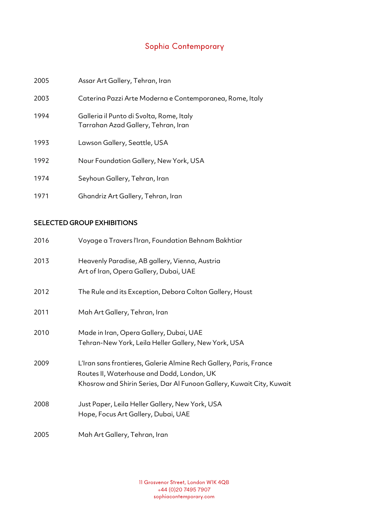| 2005 | Assar Art Gallery, Tehran, Iran                                                 |
|------|---------------------------------------------------------------------------------|
| 2003 | Caterina Pazzi Arte Moderna e Contemporanea, Rome, Italy                        |
| 1994 | Galleria il Punto di Svolta, Rome, Italy<br>Tarrahan Azad Gallery, Tehran, Iran |
| 1993 | Lawson Gallery, Seattle, USA                                                    |
| 1992 | Nour Foundation Gallery, New York, USA                                          |
| 1974 | Seyhoun Gallery, Tehran, Iran                                                   |
| 1971 | Ghandriz Art Gallery, Tehran, Iran                                              |

## SELECTED GROUP EXHIBITIONS

| 2016 | Voyage a Travers l'Iran, Foundation Behnam Bakhtiar                                                                                                                                       |
|------|-------------------------------------------------------------------------------------------------------------------------------------------------------------------------------------------|
| 2013 | Heavenly Paradise, AB gallery, Vienna, Austria<br>Art of Iran, Opera Gallery, Dubai, UAE                                                                                                  |
| 2012 | The Rule and its Exception, Debora Colton Gallery, Houst                                                                                                                                  |
| 2011 | Mah Art Gallery, Tehran, Iran                                                                                                                                                             |
| 2010 | Made in Iran, Opera Gallery, Dubai, UAE<br>Tehran-New York, Leila Heller Gallery, New York, USA                                                                                           |
| 2009 | L'Iran sans frontieres, Galerie Almine Rech Gallery, Paris, France<br>Routes II, Waterhouse and Dodd, London, UK<br>Khosrow and Shirin Series, Dar Al Funoon Gallery, Kuwait City, Kuwait |
| 2008 | Just Paper, Leila Heller Gallery, New York, USA<br>Hope, Focus Art Gallery, Dubai, UAE                                                                                                    |
| 2005 | Mah Art Gallery, Tehran, Iran                                                                                                                                                             |

11 Grosvenor Street, London WIK 4QB +44 (0) 20 7495 7907 sophiacontemporary.com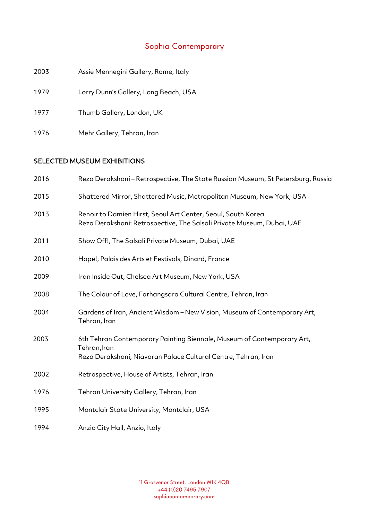| 2003                        | Assie Mennegini Gallery, Rome, Italy                                                                                                                    |  |  |
|-----------------------------|---------------------------------------------------------------------------------------------------------------------------------------------------------|--|--|
| 1979                        | Lorry Dunn's Gallery, Long Beach, USA                                                                                                                   |  |  |
| 1977                        | Thumb Gallery, London, UK                                                                                                                               |  |  |
| 1976                        | Mehr Gallery, Tehran, Iran                                                                                                                              |  |  |
| SELECTED MUSEUM EXHIBITIONS |                                                                                                                                                         |  |  |
| 2016                        | Reza Derakshani - Retrospective, The State Russian Museum, St Petersburg, Russia                                                                        |  |  |
| 2015                        | Shattered Mirror, Shattered Music, Metropolitan Museum, New York, USA                                                                                   |  |  |
| 2013                        | Renoir to Damien Hirst, Seoul Art Center, Seoul, South Korea<br>Reza Derakshani: Retrospective, The Salsali Private Museum, Dubai, UAE                  |  |  |
| 2011                        | Show Off!, The Salsali Private Museum, Dubai, UAE                                                                                                       |  |  |
| 2010                        | Hope!, Palais des Arts et Festivals, Dinard, France                                                                                                     |  |  |
| 2009                        | Iran Inside Out, Chelsea Art Museum, New York, USA                                                                                                      |  |  |
| 2008                        | The Colour of Love, Farhangsara Cultural Centre, Tehran, Iran                                                                                           |  |  |
| 2004                        | Gardens of Iran, Ancient Wisdom - New Vision, Museum of Contemporary Art,<br>Tehran, Iran                                                               |  |  |
| 2003                        | 6th Tehran Contemporary Painting Biennale, Museum of Contemporary Art,<br>Tehran,Iran<br>Reza Derakshani, Niavaran Palace Cultural Centre, Tehran, Iran |  |  |
| 2002                        | Retrospective, House of Artists, Tehran, Iran                                                                                                           |  |  |
| 1976                        | Tehran University Gallery, Tehran, Iran                                                                                                                 |  |  |
| 1995                        | Montclair State University, Montclair, USA                                                                                                              |  |  |
| 1994                        | Anzio City Hall, Anzio, Italy                                                                                                                           |  |  |

11 Grosvenor Street, London WIK 4QB +44 (0) 20 7495 7907 sophiacontemporary.com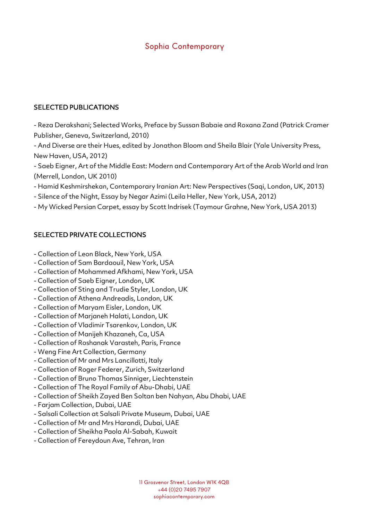## SELECTED PUBLICATIONS

- Reza Derakshani; Selected Works, Preface by Sussan Babaie and Roxana Zand (Patrick Cramer Publisher, Geneva, Switzerland, 2010)

- And Diverse are their Hues, edited by Jonathon Bloom and Sheila Blair (Yale University Press, New Haven, USA, 2012)

- Saeb Eigner, Art of the Middle East: Modern and Contemporary Art of the Arab World and Iran (Merrell, London, UK 2010)

- Hamid Keshmirshekan, Contemporary Iranian Art: New Perspectives (Saqi, London, UK, 2013)
- Silence of the Night, Essay by Negar Azimi (Leila Heller, New York, USA, 2012)
- My Wicked Persian Carpet, essay by Scott Indrisek (Taymour Grahne, New York, USA 2013)

### SELECTED PRIVATE COLLECTIONS

- Collection of Leon Black, New York, USA
- Collection of Sam Bardaouil, New York, USA
- Collection of Mohammed Afkhami, New York, USA
- Collection of Saeb Eigner, London, UK
- Collection of Sting and Trudie Styler, London, UK
- Collection of Athena Andreadis, London, UK
- Collection of Maryam Eisler, London, UK
- Collection of Marjaneh Halati, London, UK
- Collection of Vladimir Tsarenkov, London, UK
- Collection of Manijeh Khazaneh, Ca, USA
- Collection of Roshanak Varasteh, Paris, France
- Weng Fine Art Collection, Germany
- Collection of Mr and Mrs Lancillotti, Italy
- Collection of Roger Federer, Zurich, Switzerland
- Collection of Bruno Thomas Sinniger, Liechtenstein
- Collection of The Royal Family of Abu-Dhabi, UAE
- Collection of Sheikh Zayed Ben Soltan ben Nahyan, Abu Dhabi, UAE
- Farjam Collection, Dubai, UAE
- Salsali Collection at Salsali Private Museum, Dubai, UAE
- Collection of Mr and Mrs Harandi, Dubai, UAE
- Collection of Sheikha Paola Al-Sabah, Kuwait
- Collection of Fereydoun Ave, Tehran, Iran

11 Grosvenor Street, London WIK 4QB +44 (0) 20 7495 7907 sophiacontemporary.com